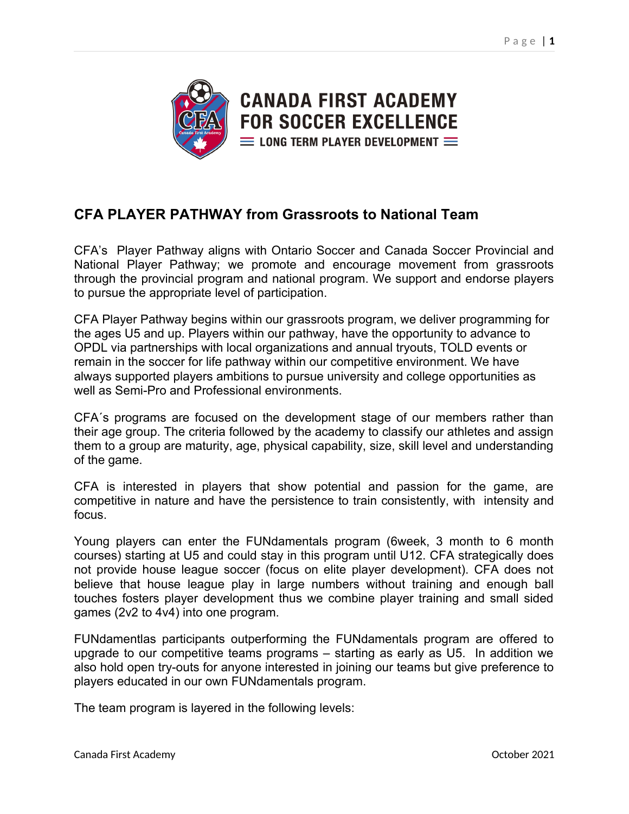

## **CFA PLAYER PATHWAY from Grassroots to National Team**

CFA's Player Pathway aligns with Ontario Soccer and Canada Soccer Provincial and National Player Pathway; we promote and encourage movement from grassroots through the provincial program and national program. We support and endorse players to pursue the appropriate level of participation.

CFA Player Pathway begins within our grassroots program, we deliver programming for the ages U5 and up. Players within our pathway, have the opportunity to advance to OPDL via partnerships with local organizations and annual tryouts, TOLD events or remain in the soccer for life pathway within our competitive environment. We have always supported players ambitions to pursue university and college opportunities as well as Semi-Pro and Professional environments.

CFA´s programs are focused on the development stage of our members rather than their age group. The criteria followed by the academy to classify our athletes and assign them to a group are maturity, age, physical capability, size, skill level and understanding of the game.

CFA is interested in players that show potential and passion for the game, are competitive in nature and have the persistence to train consistently, with intensity and focus.

Young players can enter the FUNdamentals program (6week, 3 month to 6 month courses) starting at U5 and could stay in this program until U12. CFA strategically does not provide house league soccer (focus on elite player development). CFA does not believe that house league play in large numbers without training and enough ball touches fosters player development thus we combine player training and small sided games (2v2 to 4v4) into one program.

FUNdamentlas participants outperforming the FUNdamentals program are offered to upgrade to our competitive teams programs – starting as early as U5. In addition we also hold open try-outs for anyone interested in joining our teams but give preference to players educated in our own FUNdamentals program.

The team program is layered in the following levels: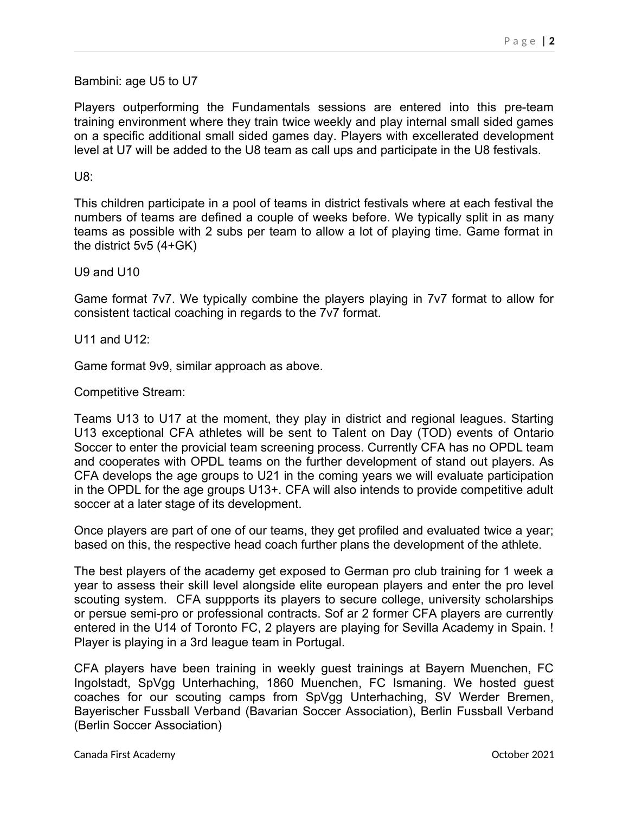Bambini: age U5 to U7

Players outperforming the Fundamentals sessions are entered into this pre-team training environment where they train twice weekly and play internal small sided games on a specific additional small sided games day. Players with excellerated development level at U7 will be added to the U8 team as call ups and participate in the U8 festivals.

## U8:

This children participate in a pool of teams in district festivals where at each festival the numbers of teams are defined a couple of weeks before. We typically split in as many teams as possible with 2 subs per team to allow a lot of playing time. Game format in the district 5v5 (4+GK)

U9 and U10

Game format 7v7. We typically combine the players playing in 7v7 format to allow for consistent tactical coaching in regards to the 7v7 format.

U11 and U12:

Game format 9v9, similar approach as above.

Competitive Stream:

Teams U13 to U17 at the moment, they play in district and regional leagues. Starting U13 exceptional CFA athletes will be sent to Talent on Day (TOD) events of Ontario Soccer to enter the provicial team screening process. Currently CFA has no OPDL team and cooperates with OPDL teams on the further development of stand out players. As CFA develops the age groups to U21 in the coming years we will evaluate participation in the OPDL for the age groups U13+. CFA will also intends to provide competitive adult soccer at a later stage of its development.

Once players are part of one of our teams, they get profiled and evaluated twice a year; based on this, the respective head coach further plans the development of the athlete.

The best players of the academy get exposed to German pro club training for 1 week a year to assess their skill level alongside elite european players and enter the pro level scouting system. CFA suppports its players to secure college, university scholarships or persue semi-pro or professional contracts. Sof ar 2 former CFA players are currently entered in the U14 of Toronto FC, 2 players are playing for Sevilla Academy in Spain. ! Player is playing in a 3rd league team in Portugal.

CFA players have been training in weekly guest trainings at Bayern Muenchen, FC Ingolstadt, SpVgg Unterhaching, 1860 Muenchen, FC Ismaning. We hosted guest coaches for our scouting camps from SpVgg Unterhaching, SV Werder Bremen, Bayerischer Fussball Verband (Bavarian Soccer Association), Berlin Fussball Verband (Berlin Soccer Association)